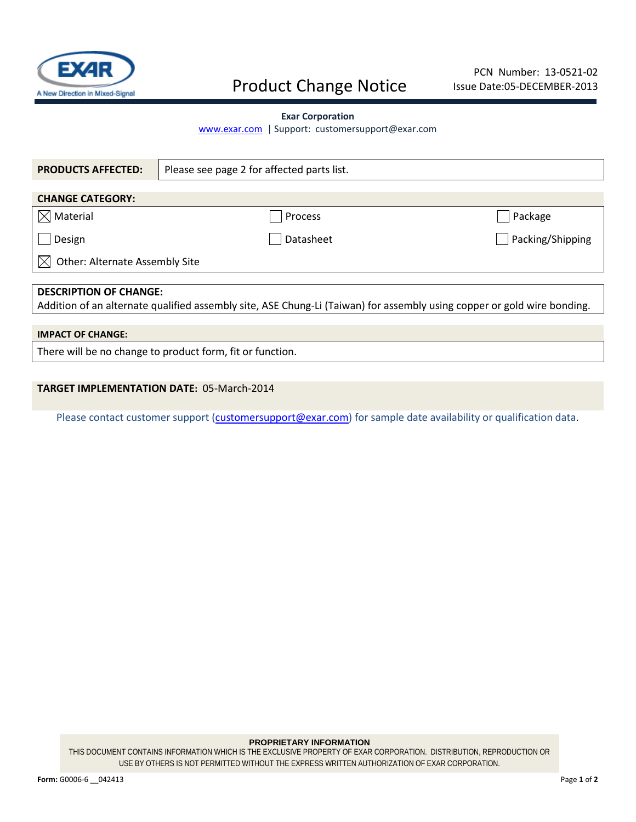

# Product Change Notice

### **Exar Corporation**

[www.exar.com](http://www.exar.com/) | Support: customersupport@exar.com

| <b>PRODUCTS AFFECTED:</b>                                                                                               | Please see page 2 for affected parts list. |                  |  |  |  |  |  |  |
|-------------------------------------------------------------------------------------------------------------------------|--------------------------------------------|------------------|--|--|--|--|--|--|
|                                                                                                                         |                                            |                  |  |  |  |  |  |  |
| <b>CHANGE CATEGORY:</b>                                                                                                 |                                            |                  |  |  |  |  |  |  |
| $\boxtimes$ Material                                                                                                    | Process                                    | Package          |  |  |  |  |  |  |
| Design                                                                                                                  | Datasheet                                  | Packing/Shipping |  |  |  |  |  |  |
| Other: Alternate Assembly Site                                                                                          |                                            |                  |  |  |  |  |  |  |
|                                                                                                                         |                                            |                  |  |  |  |  |  |  |
| <b>DESCRIPTION OF CHANGE:</b>                                                                                           |                                            |                  |  |  |  |  |  |  |
| Addition of an alternate qualified assembly site, ASE Chung-Li (Taiwan) for assembly using copper or gold wire bonding. |                                            |                  |  |  |  |  |  |  |
|                                                                                                                         |                                            |                  |  |  |  |  |  |  |
| <b>IMPACT OF CHANGE:</b>                                                                                                |                                            |                  |  |  |  |  |  |  |
| There will be no change to product form, fit or function.                                                               |                                            |                  |  |  |  |  |  |  |

## **TARGET IMPLEMENTATION DATE:** 05-March-2014

Please contact customer support [\(customersupport@exar.com\)](mailto:customersupport@exar.com) for sample date availability or qualification data.

#### **PROPRIETARY INFORMATION**

THIS DOCUMENT CONTAINS INFORMATION WHICH IS THE EXCLUSIVE PROPERTY OF EXAR CORPORATION. DISTRIBUTION, REPRODUCTION OR USE BY OTHERS IS NOT PERMITTED WITHOUT THE EXPRESS WRITTEN AUTHORIZATION OF EXAR CORPORATION.